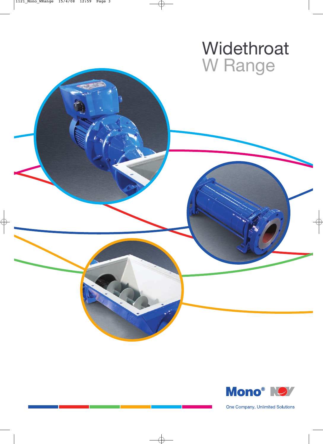# **Widethroat** W Range



One Company, Unlimited Solutions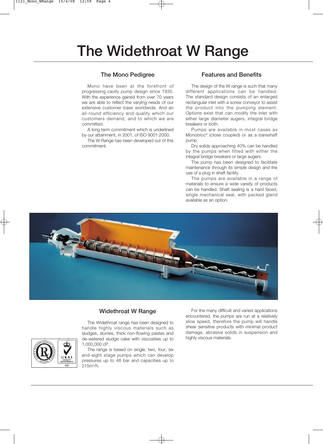# **The Widethroat W Range**

#### **The Mono Pedigree**

Mono have been at the forefront of progressing cavity pump design since 1935. With the experience gained from over 70 years we are able to reflect the varying needs of our extensive customer base worldwide. And an all-round efficiency and quality which our customers demand, and to which we are committed.

A long term commitment which is underlined by our attainment, in 2001, of ISO 9001:2000.

The W Range has been developed out of this commitment.

#### **Features and Benefits**

The design of the W range is such that many different applications can be handled. The standard design consists of an enlarged rectangular inlet with a screw conveyor to assist the product into the pumping element. Options exist that can modify the inlet with either large diameter augers, integral bridge breakers or both.

Pumps are available in most cases as Monobloc® (close coupled) or as a bareshaft pump.

Dry solids approaching 40% can be handled by the pumps when fitted with either the integral bridge breakers or large augers.

The pump has been designed to facilitate maintenance through its simple design and the use of a plug in shaft facility.

The pumps are available in a range of materials to ensure a wide variety of products can be handled. Shaft sealing is a hard faced, single mechanical seal, with packed gland available as an option.



### **Widethroat W Range**

The Widethroat range has been designed to handle highly viscous materials such as sludges, slurries, thick non-flowing pastes and de-watered sludge cake with viscosities up to 1,000,000 cP.

The range is based on single, two, four, six and eight stage pumps which can develop pressures up to 48 bar and capacities up to 215m<sup>3</sup>/h.

For the many difficult and varied applications encountered, the pumps are run at a relatively slow speed, therefore the pump will handle shear sensitive products with minimal product damage, abrasive solids in suspension and highly viscous materials.

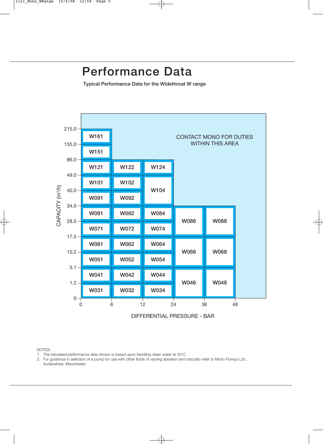## **Performance Data**

**Typical Performance Data for the Widethroat W range**



#### NOTES:

- 1. The tabulated performance data shown is based upon handling clean water at  $20^{\circ}$ C.
- 2. For guidance in selection of a pump for use with other fluids of varying abrasion and viscosity refer to Mono Pumps Ltd., Audenshaw, Manchester.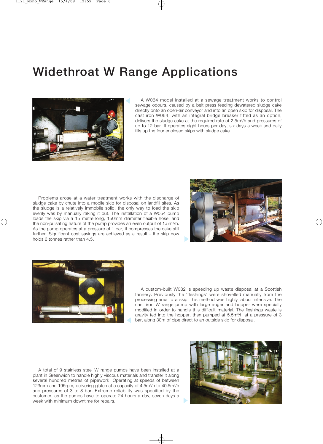## **Widethroat W Range Applications**



A W064 model installed at a sewage treatment works to control sewage odours, caused by a belt press feeding dewatered sludge cake directly onto an open-air conveyor and into an open skip for disposal. The cast iron W064, with an integral bridge breaker fitted as an option, delivers the sludge cake at the required rate of 2.5m<sup>3</sup>/h and pressures of up to 12 bar. It operates eight hours per day, six days a week and daily fills up the four enclosed skips with sludge cake.

Problems arose at a water treatment works with the discharge of sludge cake by chute into a mobile skip for disposal on landfill sites. As the sludge is a relatively immobile solid, the only way to load the skip evenly was by manually raking it out. The installation of a W054 pump loads the skip via a 15 metre long, 150mm diameter flexible hose, and the non-pulsating nature of the pump provides an even output of 1.5m<sup>3</sup>/h. As the pump operates at a pressure of 1 bar, it compresses the cake still further. Significant cost savings are achieved as a result - the skip now holds 6 tonnes rather than 4.5.





A custom-built W082 is speeding up waste disposal at a Scottish tannery. Previously the 'fleshings' were shovelled manually from the processing area to a skip, this method was highly labour intensive. The cast iron W range pump with large auger and hopper were specially modified in order to handle this difficult material. The fleshings waste is gravity fed into the hopper, then pumped at 5.5m<sup>3</sup>/h at a pressure of 3 bar, along 30m of pipe direct to an outside skip for disposal.

A total of 9 stainless steel W range pumps have been installed at a plant in Greenwich to handle highly viscous materials and transfer it along several hundred metres of pipework. Operating at speeds of between 123rpm and 196rpm, delivering gluten at a capacity of 4.5m<sup>3</sup>/h to 40.5m<sup>3</sup>/h and pressures of 3 to 8 bar. Extreme reliability was specified by the customer, as the pumps have to operate 24 hours a day, seven days a week with minimum downtime for repairs.

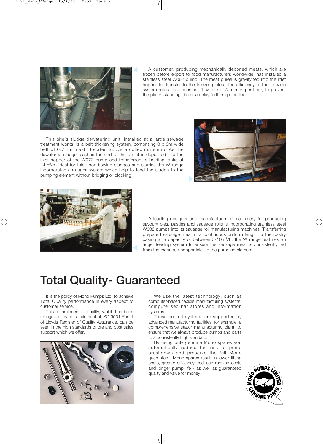

A customer, producing mechanically deboned meats, which are frozen before export to food manufacturers worldwide, has installed a stainless steel W062 pump. The meat puree is gravity fed into the inlet hopper for transfer to the freezer plates. The efficiency of the freezing system relies on a constant flow rate of 5 tonnes per hour, to prevent the plates standing idle or a delay further up the line.

This site's sludge dewatering unit, installed at a large sewage treatment works, is a belt thickening system, comprising 3 x 3m wide belt of 0.7mm mesh, located above a collection sump. As the dewatered sludge reaches the end of the belt it is deposited into the inlet hopper of the W072 pump and transferred to holding tanks at 14m3/h. Ideal for thick non-flowing sludges and slurries the W range incorporates an auger system which help to feed the sludge to the pumping element without bridging or blocking.





A leading designer and manufacturer of machinery for producing savoury pies, pasties and sausage rolls is incorporating stainless steel W032 pumps into its sausage roll manufacturing machines. Transferring prepared sausage meat in a continuous uniform length to the pastry casing at a capacity of between 5-10m3/h, the W range features an auger feeding system to ensure the sausage meat is consistently fed from the extended hopper inlet to the pumping element.

## **Total Quality- Guaranteed**

It is the policy of Mono Pumps Ltd. to achieve Total Quality performance in every aspect of customer service.

This commitment to quality, which has been recognised by our attainment of ISO 9001 Part 1 of Lloyds Register of Quality Assurance, can be seen in the high standards of pre and post sales support which we offer.



We use the latest technology, such as computer-based flexible manufacturing systems, computerised bar stores and information systems.

These control systems are supported by advanced manufacturing facilities, for example, a comprehensive stator manufacturing plant, to ensure that we always produce pumps and parts to a consistently high standard.

By using only genuine Mono spares you automatically reduce the risk of pump breakdown and preserve the full Mono guarantee. Mono spares result in lower fitting costs, greater efficiency, reduced running costs and longer pump life - as well as guaranteed quality and value for money.

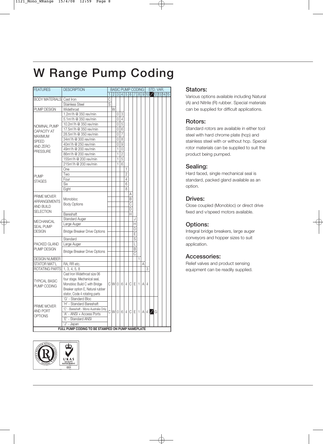# **W Range Pump Coding**

| <b>FEATURES</b>                 | <b>DESCRIPTION</b>                               |                |   |        |                                  | STD. VAR.<br><b>BASIC PUMP CODING</b> |   |                              |              |     |          |  |  |  |  |  |
|---------------------------------|--------------------------------------------------|----------------|---|--------|----------------------------------|---------------------------------------|---|------------------------------|--------------|-----|----------|--|--|--|--|--|
|                                 |                                                  | 1              |   |        | $2 3 4 5 6 7 8 9 10$ 12 13 14 15 |                                       |   |                              |              |     |          |  |  |  |  |  |
| <b>BODY MATERIALS</b> Cast Iron |                                                  | С              |   |        |                                  |                                       |   |                              |              |     |          |  |  |  |  |  |
|                                 | <b>Stainless Steel</b>                           | $\overline{s}$ |   |        |                                  |                                       |   |                              |              |     |          |  |  |  |  |  |
| PUMP DESIGN                     | Widethroat                                       |                | W |        |                                  |                                       |   |                              |              |     |          |  |  |  |  |  |
|                                 | 1.2m <sup>3</sup> /h @ 350 rev/min               |                |   | 0      | 3                                |                                       |   |                              |              |     |          |  |  |  |  |  |
|                                 | 5.1m <sup>3</sup> /h @ 350 rev/min               |                |   | 0      | $\overline{4}$                   |                                       |   |                              |              |     |          |  |  |  |  |  |
| NOMINAL PUMP                    | 10.2m <sup>3</sup> /h @ 350 rev/min              |                |   | 0      | $\overline{5}$                   |                                       |   |                              |              |     |          |  |  |  |  |  |
| CAPACITY AT                     | 17.5m <sup>3</sup> /h @ 350 rev/min              |                |   | 0      | 6                                |                                       |   |                              |              |     |          |  |  |  |  |  |
| <b>MAXIMUM</b>                  | 28.5m <sup>3</sup> /h @ 350 rev/min              |                |   | 0      | 7                                |                                       |   |                              |              |     |          |  |  |  |  |  |
| <b>SPEED</b>                    | 34m <sup>3</sup> /h @ 300 rev/min                |                |   | 0      | 8                                |                                       |   |                              |              |     |          |  |  |  |  |  |
|                                 | 40m <sup>3</sup> /h @ 250 rev/min                |                |   | 0      | 9                                |                                       |   |                              |              |     |          |  |  |  |  |  |
| AND ZERO                        | 49m <sup>3</sup> /h @ 200 rev/min                |                |   | 1      | 0                                |                                       |   |                              |              |     |          |  |  |  |  |  |
| <b>PRESSURE</b>                 | 86m <sup>3</sup> /h @ 200 rev/min                |                |   | 1      | $\overline{2}$                   |                                       |   |                              |              |     |          |  |  |  |  |  |
|                                 | 155m <sup>3</sup> /h @ 200 rev/min               |                |   | 1      | 5                                |                                       |   |                              |              |     |          |  |  |  |  |  |
|                                 | 215m <sup>3</sup> /h @ 200 rev/min               |                |   | 1      | 6                                |                                       |   |                              |              |     |          |  |  |  |  |  |
|                                 | One                                              |                |   |        |                                  | 1                                     |   |                              |              |     |          |  |  |  |  |  |
|                                 | Two                                              |                |   |        |                                  | $\overline{2}$                        |   |                              |              |     |          |  |  |  |  |  |
| <b>PUMP</b>                     | Four                                             |                |   |        |                                  | 4                                     |   |                              |              |     |          |  |  |  |  |  |
| <b>STAGES</b>                   | Six                                              |                |   |        |                                  | 6                                     |   |                              |              |     |          |  |  |  |  |  |
|                                 | Eight                                            |                |   |        |                                  | 8                                     |   |                              |              |     |          |  |  |  |  |  |
|                                 |                                                  |                |   |        |                                  |                                       | Α |                              |              |     |          |  |  |  |  |  |
| PRIME MOVER                     | Monobloc                                         |                |   |        |                                  |                                       | B |                              |              |     |          |  |  |  |  |  |
| ARRANGEMENTS                    |                                                  |                |   |        |                                  |                                       | C |                              |              |     |          |  |  |  |  |  |
| <b>AND BUILD</b>                | <b>Body Options</b>                              |                |   |        |                                  |                                       | D |                              |              |     |          |  |  |  |  |  |
| <b>SELECTION</b>                | Bareshaft                                        |                |   |        |                                  |                                       | Н |                              |              |     |          |  |  |  |  |  |
|                                 | <b>Standard Auger</b>                            |                |   |        |                                  |                                       |   |                              |              |     |          |  |  |  |  |  |
| <b>MECHANICAL</b>               |                                                  |                |   |        |                                  |                                       |   | H                            |              |     |          |  |  |  |  |  |
| <b>SEAL PUMP</b>                | Large Auger                                      |                |   |        |                                  |                                       |   | D                            |              |     |          |  |  |  |  |  |
| <b>DESIGN</b>                   | <b>Bridge Breaker Drive Options</b>              |                |   |        |                                  |                                       |   | E                            |              |     |          |  |  |  |  |  |
|                                 | Standard                                         |                |   |        |                                  |                                       |   | $\overline{s}$               |              |     |          |  |  |  |  |  |
| PACKED GLAND                    | Large Auger                                      |                |   |        |                                  |                                       |   | L                            |              |     |          |  |  |  |  |  |
| PUMP DESIGN                     | <b>Bridge Breaker Drive Options</b>              |                |   |        |                                  |                                       |   | B<br>$\overline{\mathrm{c}}$ |              |     |          |  |  |  |  |  |
|                                 |                                                  |                |   |        |                                  |                                       |   |                              | $\mathbf{1}$ |     |          |  |  |  |  |  |
| <b>DESIGN NUMBER</b>            |                                                  |                |   |        |                                  |                                       |   |                              |              | A   |          |  |  |  |  |  |
| STATOR MAT'L                    | RA, RR etc.                                      |                |   |        |                                  |                                       |   |                              |              |     |          |  |  |  |  |  |
| ROTATING PARTS                  | 1, 3, 4, 5, 8                                    |                |   |        |                                  |                                       |   |                              |              |     | 3        |  |  |  |  |  |
|                                 | Cast Iron Widethroat size 06                     |                |   |        |                                  |                                       |   |                              |              |     |          |  |  |  |  |  |
| <b>TYPICAL BASIC</b>            | four stage. Mechanical seal,                     |                |   |        |                                  |                                       |   |                              |              |     |          |  |  |  |  |  |
| PUMP CODING                     | Monobloc Build C with Bridge                     |                |   | clwlol |                                  |                                       |   | 6 4 C E 1                    |              | A I | $\Delta$ |  |  |  |  |  |
|                                 | Breaker option E, Natural rubber                 |                |   |        |                                  |                                       |   |                              |              |     |          |  |  |  |  |  |
|                                 | stator, Code 4 rotating parts                    |                |   |        |                                  |                                       |   |                              |              |     |          |  |  |  |  |  |
| PRIME MOVER                     | 'G' - Standard Bloc                              |                |   |        |                                  |                                       |   |                              |              |     |          |  |  |  |  |  |
|                                 | 'H' - Standard Bareshaft                         |                |   |        |                                  |                                       |   |                              |              |     |          |  |  |  |  |  |
| <b>AND PORT</b>                 | 'C' - Bareshaft - Mono Australia Only            |                |   |        | $C[W 0 6 4 C E 1 A 4$ G          |                                       |   |                              |              |     |          |  |  |  |  |  |
| <b>OPTIONS</b>                  | 'A' - ANSI + Access Ports                        |                |   |        |                                  |                                       |   |                              |              |     |          |  |  |  |  |  |
|                                 | 'E' - Standard ANSI                              |                |   |        |                                  |                                       |   |                              |              |     |          |  |  |  |  |  |
|                                 | 'J' - Japan                                      |                |   |        |                                  |                                       |   |                              |              |     |          |  |  |  |  |  |
|                                 | FULL PUMP CODING TO BE STAMPED ON PUMP NAMEPLATE |                |   |        |                                  |                                       |   |                              |              |     |          |  |  |  |  |  |



### **Stators:**

Various options available including Natural (A) and Nitrile (R) rubber. Special materials can be supplied for difficult applications.

## **Rotors:**

Standard rotors are available in either tool steel with hard chrome plate (hcp) and stainless steel with or without hcp. Special rotor materials can be supplied to suit the product being pumped.

## **Sealing:**

Hard faced, single mechanical seal is standard, packed gland available as an option.

## **Drives:**

Close coupled (Monobloc) or direct drive fixed and v/speed motors available.

## **Options:**

Integral bridge breakers, large auger conveyors and hopper sizes to suit application.

### **Accessories:**

Relief valves and product sensing equipment can be readily supplied.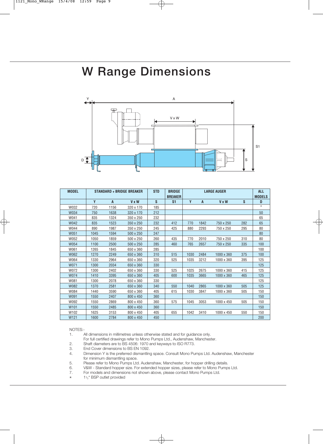# **W Range Dimensions**



| <b>MODEL</b>     |      |      | <b>STANDARD + BRIDGE BREAKER</b> | <b>STD</b> | <b>BRIDGE</b><br><b>BREAKER</b> |      | <b>ALL</b><br><b>MODELS</b> |                   |     |            |
|------------------|------|------|----------------------------------|------------|---------------------------------|------|-----------------------------|-------------------|-----|------------|
|                  | Y    | A    | <b>V</b> x W                     | S          | S <sub>1</sub>                  | Y    | A                           | <b>V x W</b>      | S   | D          |
| W032             | 720  | 1156 | 320 x 170                        | 185        |                                 |      |                             |                   |     | $^{\star}$ |
| W034             | 750  | 1638 | 320 x 170                        | 212        |                                 |      |                             |                   |     | 50         |
| W041             | 835  | 1324 | 350 x 250                        | 232        |                                 |      |                             |                   |     | 65         |
| W042             | 835  | 1523 | 350 x 250                        | 232        | 412                             | 770  | 1842                        | 750 x 250         | 282 | 65         |
| W044             | 890  | 1987 | 350 x 250                        | 245        | 425                             | 880  | 2293                        | 750 x 250         | 295 | 80         |
| <b>W051</b>      | 1045 | 1594 | 500 x 250                        | 247        |                                 |      |                             |                   |     | 80         |
| W052             | 1050 | 1859 | 500 x 250                        | 260        | 435                             | 770  | 2010                        | 750 x 250         | 310 | 80         |
| W054             | 1100 | 2500 | 500 x 250                        | 285        | 460                             | 765  | 2657                        | 750 x 250         | 335 | 100        |
| W061             | 1265 | 1845 | 650 x 360                        | 285        |                                 |      |                             |                   |     | 100        |
| W062             | 1270 | 2249 | 650 x 360                        | 310        | 515                             | 1030 | 2484                        | 1000 x 360        | 375 | 100        |
| W064             | 1330 | 2964 | 650 x 360                        | 320        | 525                             | 1035 | 3212                        | 1000 x 360        | 395 | 125        |
| W071             | 1300 | 2034 | 650 x 360                        | 330        |                                 |      |                             |                   |     | 125        |
| W072             | 1300 | 2402 | 650 x 360                        | 330        | 525                             | 1025 | 2675                        | 1000 x 360        | 415 | 125        |
| <b>W074</b>      | 1410 | 3395 | 650 x 360                        | 405        | 600                             | 1035 | 3665                        | 1000 x 360        | 465 | 125        |
| W081             | 1300 | 2078 | 650 x 360                        | 330        |                                 |      |                             |                   |     | 125        |
| W082             | 1370 | 2581 | 650 x 360                        | 340        | 550                             | 1040 | 2865                        | $1000 \times 360$ | 505 | 125        |
| W084             | 1440 | 3590 | 650 x 360                        | 405        | 615                             | 1030 | 3847                        | 1000 x 360        | 505 | 150        |
| W091             | 1550 | 2407 | 800 x 450                        | 360        |                                 |      |                             |                   |     | 150        |
| W092             | 1550 | 2869 | 800 x 450                        | 360        | 575                             | 1045 | 3053                        | 1000 x 450        | 505 | 150        |
| W <sub>101</sub> | 1550 | 2485 | 800 x 450                        | 360        |                                 |      |                             |                   |     | 150        |
| W102             | 1625 | 3153 | 800 x 450                        | 405        | 655                             | 1042 | 3410                        | 1000 x 450        | 550 | 150        |
| W <sub>121</sub> | 1600 | 2784 | 800 x 450                        | 450        |                                 |      |                             |                   |     | 200        |

#### NOTES:-

1. All dimensions in millimetres unless otherwise stated and for guidance only.

For full certified drawings refer to Mono Pumps Ltd., Audenshaw, Manchester.

2. Shaft diameters are to BS 4506: 1970 and keyways to ISO R773.

End Cover dimensions to BS EN 1092.

4. Dimension Y is the preferred dismantling space. Consult Mono Pumps Ltd. Audenshaw, Manchester for minimum dismantling space.

5. Please refer to Mono Pumps Ltd. Audenshaw, Manchester, for hopper drilling details.

6. V&W - Standard hopper size. For extended hopper sizes, please refer to Mono Pumps Ltd.<br>7. For models and dimensions not shown above, please contact Mono Pumps Ltd.

7. For models and dimensions not shown above, please contact Mono Pumps Ltd.

 $\star$  1<sup>1</sup>/<sub>2</sub>" BSP outlet provided